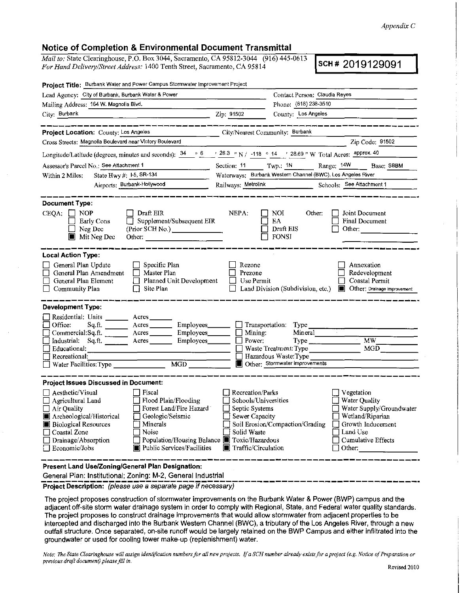#### *Appendix* C

## Notice of Completion & Environmental Document Transmittal

*Mail to:* State Clearinghouse, P.O. Box 3044, Sacramento, CA 95812-3044 (916) 445-0613<br>For Hand Delivery/Street Address: 1400 Tenth Street, Sacramento, CA 95814 *For Hand Delivery/Street Address: 1400 Tenth Street, Sacramento, CA 95814* 

| Project Title: Burbank Water and Power Campus Stormwater Improvement Project                                                                                                                                                                                                                                                                                                |                                                                                                                                                                                                                                                                                                                                                                     |
|-----------------------------------------------------------------------------------------------------------------------------------------------------------------------------------------------------------------------------------------------------------------------------------------------------------------------------------------------------------------------------|---------------------------------------------------------------------------------------------------------------------------------------------------------------------------------------------------------------------------------------------------------------------------------------------------------------------------------------------------------------------|
| Lead Agency: City of Burbank, Burbank Water & Power                                                                                                                                                                                                                                                                                                                         | Contact Person: Claudia Reyes                                                                                                                                                                                                                                                                                                                                       |
| Mailing Address: 164 W. Magnolla Blvd.                                                                                                                                                                                                                                                                                                                                      | Phone: (818) 238-3510                                                                                                                                                                                                                                                                                                                                               |
| City: Burbank                                                                                                                                                                                                                                                                                                                                                               | County: Los Angeles<br>Zip: 91502                                                                                                                                                                                                                                                                                                                                   |
| ----------------<br>Project Location: County: Los Angeles                                                                                                                                                                                                                                                                                                                   | _______________<br>City/Nearest Community: Burbank                                                                                                                                                                                                                                                                                                                  |
| Cross Streets: Magnolia Boulevard near Victory Boulevard                                                                                                                                                                                                                                                                                                                    | Zip Code; 91502                                                                                                                                                                                                                                                                                                                                                     |
|                                                                                                                                                                                                                                                                                                                                                                             | Longitude/Latitude (degrees, minutes and seconds): $\frac{34}{9}$ 6 $\frac{6}{9}$ $\frac{26.3}{9}$ "N / -118 ° 14 ' 28.69 " W Total Acres: <u>approx. 40</u>                                                                                                                                                                                                        |
| Assessor's Parcel No.; See Attachment 1                                                                                                                                                                                                                                                                                                                                     | Section: $11$ Twp.: $1N$<br>Range: 14W Base: SBBM                                                                                                                                                                                                                                                                                                                   |
| State Hwy #: $1-5$ , SR-134<br>Within 2 Miles:                                                                                                                                                                                                                                                                                                                              | Waterways: Burbank Western Channel (BWC), Los Angeles River                                                                                                                                                                                                                                                                                                         |
| Airports: Burbank-Hollywood                                                                                                                                                                                                                                                                                                                                                 | Railways: Metrolink Schools: See Attachment 1                                                                                                                                                                                                                                                                                                                       |
| <b>Document Type:</b><br>$CEQA: \Box NOP$<br>$\Box$ Draft EIR<br>$\Box$ Supplement/Subsequent EIR<br>Early Cons<br>Neg Dec<br><b>Mit Neg Dec</b>                                                                                                                                                                                                                            | NEPA:<br>NOI<br>Other:<br>Joint Document<br>EA.<br>Final Document<br>Draft EIS<br>Other:<br><b>FONSI</b>                                                                                                                                                                                                                                                            |
| <b>Local Action Type:</b><br>General Plan Update<br>$\Box$ Specific Plan<br>General Plan Amendment<br>$\Box$ Master Plan<br>Planned Unit Development<br>General Plan Element<br>$\Box$ Site Plan<br>Community Plan                                                                                                                                                          | Rezone<br>Annexation<br>Prezone<br>Redevelopment<br>Coastal Permit<br>Use Permit<br>Land Division (Subdivision, etc.)<br><b>Other:</b> Drainage improvement                                                                                                                                                                                                         |
| <b>Development Type:</b>                                                                                                                                                                                                                                                                                                                                                    |                                                                                                                                                                                                                                                                                                                                                                     |
| Residential: Units ________ Acres ____<br>Office:<br>Sq.ft.<br>Commercial: Sq.ft. $\frac{1}{\sqrt{1-\frac{1}{2}}}\$ Acres $\frac{1}{\sqrt{1-\frac{1}{2}}}\$ Employees $\frac{1}{\sqrt{1-\frac{1}{2}}}\$ Mining:<br>Industrial: $Sq$ :ft. $\overline{\phantom{a}}$ Acres $\overline{\phantom{a}}$ Employees $\overline{\phantom{a}}$ Power:<br>Educational:<br>Recreational: | Acres Employees Transportation: Type<br>Mineral<br>$\sim$ $\sim$<br>MW<br>Type<br>MGD<br>Waste Treatment: Type<br>Hazardous Waste:Type<br>Other: Stormwater improvements                                                                                                                                                                                            |
| <b>Project Issues Discussed in Document:</b>                                                                                                                                                                                                                                                                                                                                |                                                                                                                                                                                                                                                                                                                                                                     |
| $\Box$ Aesthetic/Visual<br>  Fiscal<br>$\Box$ Flood Plain/Flooding<br>$\Box$ Agricultural Land<br>Forest Land/Fire Hazard<br>$\Box$ Air Quality<br>Archeological/Historical<br>Geologic/Seismic<br>Minerals<br><b>Biological Resources</b><br>Coastal Zone<br>Noise<br>Drainage/Absorption<br>Public Services/Facilities<br>Economic/Jobs                                   | Recreation/Parks<br>Vegetation<br>Schools/Universities<br>$\Box$ Water Quality<br>Water Supply/Groundwater<br>Septic Systems<br>Wetland/Riparian<br>$\Box$ Sewer Capacity<br>Soil Erosion/Compaction/Grading<br>Growth Inducement<br>Solid Waste<br>Land Use<br>Population/Housing Balance ■ Toxic/Hazardous<br>Cumulative Effects<br>Traffic/Circulation<br>Other: |
| Present Land Use/Zoning/General Plan Designation:<br>General Plan: Institutional; Zoning: M-2, General Industrial                                                                                                                                                                                                                                                           |                                                                                                                                                                                                                                                                                                                                                                     |

Project Description: (please use a separate page if necessary)

The project proposes construction of stormwater improvements on the Burbank Water & Power (BWP) campus and the adjacent off-site storm water drainage system in order to comply with Regional, State, and Federal water quality standards. The project proposes to construct drainage improvements that would allow stormwater from adjacent properties to be intercepted and discharged into the Burbank Western Channel (BWC), a tributary of the Los Angeles River, through a new outfall structure. Once separated, on-site runoff would be largely retained on the BWP Campus and either infiltrated into the groundwater or used for cooling tower make-up (replenishment) water.

*Note: The State Clearinghouse will assign identification numbers for all new projects. If a SCH number already exists for a project (e.g. Notice of Preparation or previous draft document) please fill in,*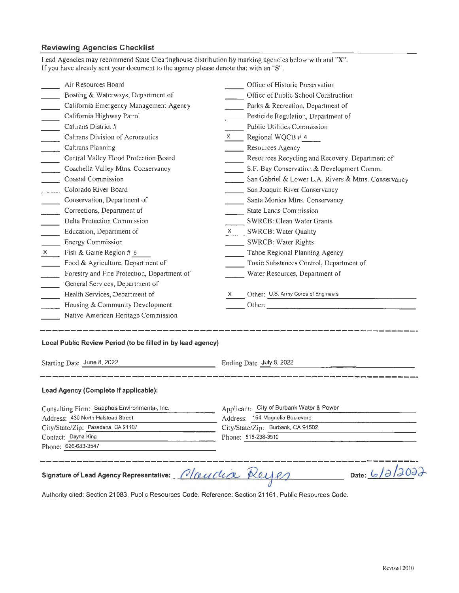# **Reviewing Agencies Checklist**

| If you have already sent your document to the agency please denote that with an "S".                                                                                                                                                                                                                                                                                                                                                                                     |                                                     |
|--------------------------------------------------------------------------------------------------------------------------------------------------------------------------------------------------------------------------------------------------------------------------------------------------------------------------------------------------------------------------------------------------------------------------------------------------------------------------|-----------------------------------------------------|
| Air Resources Board                                                                                                                                                                                                                                                                                                                                                                                                                                                      | Office of Historic Preservation                     |
| Boating & Waterways, Department of                                                                                                                                                                                                                                                                                                                                                                                                                                       | Office of Public School Construction                |
| California Emergency Management Agency                                                                                                                                                                                                                                                                                                                                                                                                                                   | Parks & Recreation, Department of                   |
| California Highway Patrol<br>$\sim 10$                                                                                                                                                                                                                                                                                                                                                                                                                                   | Pesticide Regulation, Department of                 |
| $\mathcal{L}^{\mathcal{L}}$<br>Caltrans District #                                                                                                                                                                                                                                                                                                                                                                                                                       | Public Utilities Commission                         |
| Caltrans Division of Aeronautics<br>$\overline{\phantom{a}}$                                                                                                                                                                                                                                                                                                                                                                                                             | Regional WQCB # 4<br>$X =$                          |
| Caltrans Planning<br>$\overline{\phantom{a}}$                                                                                                                                                                                                                                                                                                                                                                                                                            | Resources Agency                                    |
| $\frac{1}{\sqrt{1-\frac{1}{2}}}\frac{1}{\sqrt{1-\frac{1}{2}}}\frac{1}{\sqrt{1-\frac{1}{2}}}\frac{1}{\sqrt{1-\frac{1}{2}}}\frac{1}{\sqrt{1-\frac{1}{2}}}\frac{1}{\sqrt{1-\frac{1}{2}}}\frac{1}{\sqrt{1-\frac{1}{2}}}\frac{1}{\sqrt{1-\frac{1}{2}}}\frac{1}{\sqrt{1-\frac{1}{2}}}\frac{1}{\sqrt{1-\frac{1}{2}}}\frac{1}{\sqrt{1-\frac{1}{2}}}\frac{1}{\sqrt{1-\frac{1}{2}}}\frac{1}{\sqrt{1-\frac{1}{2}}}\frac{1}{\sqrt{1-\frac{$<br>Central Valley Flood Protection Board | Resources Recycling and Recovery, Department of     |
| Coachella Valley Mtns. Conservancy                                                                                                                                                                                                                                                                                                                                                                                                                                       | S.F. Bay Conservation & Development Comm.           |
| <b>Coastal Commission</b><br>$\mathcal{L}^{\text{max}}$                                                                                                                                                                                                                                                                                                                                                                                                                  | San Gabriel & Lower L.A. Rivers & Mtns. Conservancy |
| Colorado River Board                                                                                                                                                                                                                                                                                                                                                                                                                                                     | San Joaquin River Conservancy                       |
| Conservation, Department of                                                                                                                                                                                                                                                                                                                                                                                                                                              | Santa Monica Mtns. Conservancy                      |
| Corrections, Department of<br>$\frac{1}{2}$                                                                                                                                                                                                                                                                                                                                                                                                                              | <b>State Lands Commission</b>                       |
| Delta Protection Commission<br>$\overline{\phantom{a}}$                                                                                                                                                                                                                                                                                                                                                                                                                  | SWRCB: Clean Water Grants                           |
| Education, Department of                                                                                                                                                                                                                                                                                                                                                                                                                                                 | $\times$ SWRCB: Water Quality                       |
| <b>Energy Commission</b>                                                                                                                                                                                                                                                                                                                                                                                                                                                 | SWRCB: Water Rights                                 |
| Fish & Game Region # 5<br>$X =$                                                                                                                                                                                                                                                                                                                                                                                                                                          | Tahoe Regional Planning Agency                      |
| Food & Agriculture, Department of                                                                                                                                                                                                                                                                                                                                                                                                                                        | Toxic Substances Control, Department of             |
| Forestry and Fire Protection, Department of                                                                                                                                                                                                                                                                                                                                                                                                                              | Water Resources, Department of                      |
| General Services, Department of<br>$\overline{\phantom{a}}$                                                                                                                                                                                                                                                                                                                                                                                                              |                                                     |
| Health Services, Department of<br>$\sim 10^{-1}$                                                                                                                                                                                                                                                                                                                                                                                                                         | Other: U.S. Army Corps of Engineers<br>X.           |
| $\Box$ Housing & Community Development                                                                                                                                                                                                                                                                                                                                                                                                                                   |                                                     |
| Native American Heritage Commission                                                                                                                                                                                                                                                                                                                                                                                                                                      |                                                     |
|                                                                                                                                                                                                                                                                                                                                                                                                                                                                          |                                                     |
| Local Public Review Period (to be filled in by lead agency)                                                                                                                                                                                                                                                                                                                                                                                                              |                                                     |
| Starting Date June 8, 2022                                                                                                                                                                                                                                                                                                                                                                                                                                               | Ending Date July 8, 2022                            |
| Lead Agency (Complete if applicable):                                                                                                                                                                                                                                                                                                                                                                                                                                    |                                                     |
| Consulting Firm: Sapphos Environmental, Inc.                                                                                                                                                                                                                                                                                                                                                                                                                             | Applicant: City of Burbank Water & Power            |
| Address: 430 North Halstead Street                                                                                                                                                                                                                                                                                                                                                                                                                                       | Address: 164 Magnolia Boulevard                     |
| City/State/Zip: Pasadena, CA 91107                                                                                                                                                                                                                                                                                                                                                                                                                                       | City/State/Zip: Burbank, CA 91502                   |
| Contact: Dayna King                                                                                                                                                                                                                                                                                                                                                                                                                                                      | Phone: 818-238-3510                                 |
| Phone: 626-683-3547                                                                                                                                                                                                                                                                                                                                                                                                                                                      |                                                     |
|                                                                                                                                                                                                                                                                                                                                                                                                                                                                          |                                                     |
| Signature of Lead Agency Representative: Claudia Reyes                                                                                                                                                                                                                                                                                                                                                                                                                   | Date: 6/2/2022                                      |
| Authority cited: Section 21083, Public Resources Code. Reference: Section 21161, Public Resources Code.                                                                                                                                                                                                                                                                                                                                                                  |                                                     |